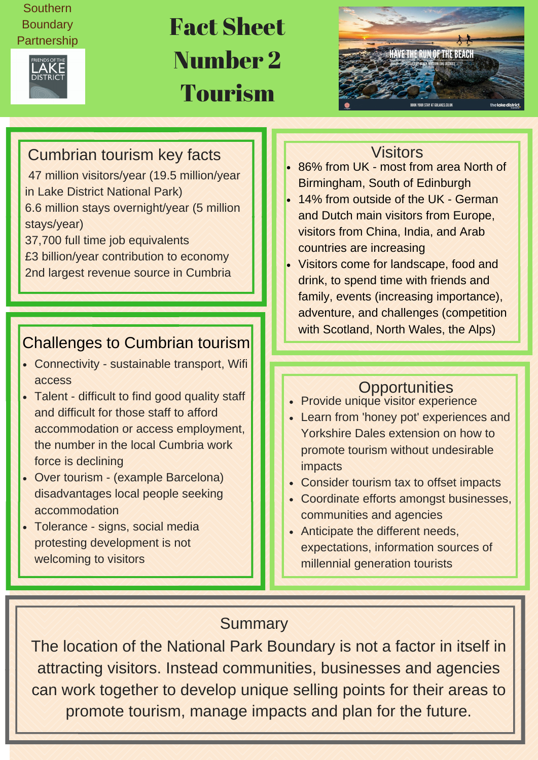### Southern **Boundary** Partnership



## Fact Sheet Number 2 Tourism



## Cumbrian tourism key facts Visitors Visitors

47 million visitors/year (19.5 million/year in Lake District National Park)

6.6 million stays overnight/year (5 million stays/year)

37,700 full time job equivalents

- £3 billion/year contribution to economy
- 2nd largest revenue source in Cumbria

## Challenges to Cumbrian tourism

- Connectivity sustainable transport, Wifi access
- Talent difficult to find good quality staff and difficult for those staff to afford accommodation or access employment, the number in the local Cumbria work force is declining
- Over tourism (example Barcelona) disadvantages local people seeking accommodation
- Tolerance signs, social media protesting development is not welcoming to visitors

- 86% from UK most from area North of Birmingham, South of Edinburgh
- 14% from outside of the UK German and Dutch main visitors from Europe, visitors from China, India, and Arab countries are increasing
- Visitors come for landscape, food and drink, to spend time with friends and family, events (increasing importance), adventure, and challenges (competition with Scotland, North Wales, the Alps)

### **Opportunities**

- Provide unique visitor experience
- Learn from 'honey pot' experiences and Yorkshire Dales extension on how to promote tourism without undesirable impacts
- Consider tourism tax to offset impacts
- Coordinate efforts amongst businesses, communities and agencies
- Anticipate the different needs, expectations, information sources of millennial generation tourists

### **Summary**

The location of the National Park Boundary is not a factor in itself in attracting visitors. Instead communities, businesses and agencies can work together to develop unique selling points for their areas to promote tourism, manage impacts and plan for the future.